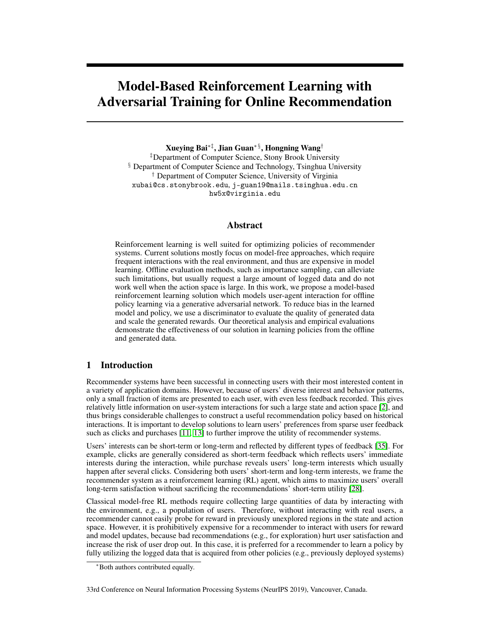# Model-Based Reinforcement Learning with Adversarial Training for Online Recommendation

Xueying Bai∗‡, Jian Guan∗ §, Hongning Wang†

‡Department of Computer Science, Stony Brook University § Department of Computer Science and Technology, Tsinghua University † Department of Computer Science, University of Virginia xubai@cs.stonybrook.edu, j-guan19@mails.tsinghua.edu.cn hw5x@virginia.edu

# Abstract

Reinforcement learning is well suited for optimizing policies of recommender systems. Current solutions mostly focus on model-free approaches, which require frequent interactions with the real environment, and thus are expensive in model learning. Offline evaluation methods, such as importance sampling, can alleviate such limitations, but usually request a large amount of logged data and do not work well when the action space is large. In this work, we propose a model-based reinforcement learning solution which models user-agent interaction for offline policy learning via a generative adversarial network. To reduce bias in the learned model and policy, we use a discriminator to evaluate the quality of generated data and scale the generated rewards. Our theoretical analysis and empirical evaluations demonstrate the effectiveness of our solution in learning policies from the offline and generated data.

# 1 Introduction

Recommender systems have been successful in connecting users with their most interested content in a variety of application domains. However, because of users' diverse interest and behavior patterns, only a small fraction of items are presented to each user, with even less feedback recorded. This gives relatively little information on user-system interactions for such a large state and action space [2], and thus brings considerable challenges to construct a useful recommendation policy based on historical interactions. It is important to develop solutions to learn users' preferences from sparse user feedback such as clicks and purchases [11, 13] to further improve the utility of recommender systems.

Users' interests can be short-term or long-term and reflected by different types of feedback [35]. For example, clicks are generally considered as short-term feedback which reflects users' immediate interests during the interaction, while purchase reveals users' long-term interests which usually happen after several clicks. Considering both users' short-term and long-term interests, we frame the recommender system as a reinforcement learning (RL) agent, which aims to maximize users' overall long-term satisfaction without sacrificing the recommendations' short-term utility [28].

Classical model-free RL methods require collecting large quantities of data by interacting with the environment, e.g., a population of users. Therefore, without interacting with real users, a recommender cannot easily probe for reward in previously unexplored regions in the state and action space. However, it is prohibitively expensive for a recommender to interact with users for reward and model updates, because bad recommendations (e.g., for exploration) hurt user satisfaction and increase the risk of user drop out. In this case, it is preferred for a recommender to learn a policy by fully utilizing the logged data that is acquired from other policies (e.g., previously deployed systems)

<sup>∗</sup>Both authors contributed equally.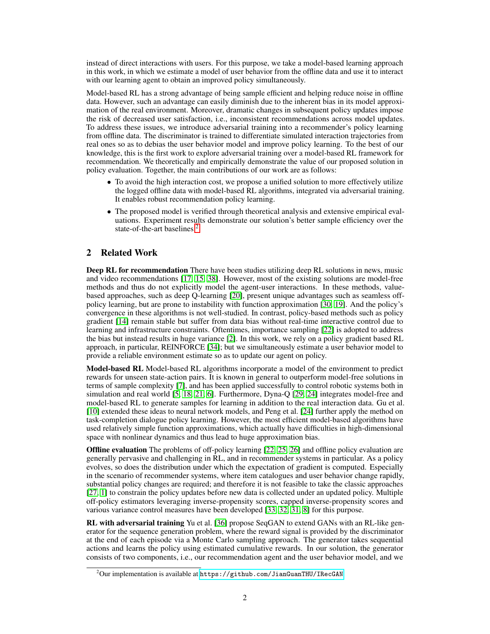instead of direct interactions with users. For this purpose, we take a model-based learning approach in this work, in which we estimate a model of user behavior from the offline data and use it to interact with our learning agent to obtain an improved policy simultaneously.

Model-based RL has a strong advantage of being sample efficient and helping reduce noise in offline data. However, such an advantage can easily diminish due to the inherent bias in its model approximation of the real environment. Moreover, dramatic changes in subsequent policy updates impose the risk of decreased user satisfaction, i.e., inconsistent recommendations across model updates. To address these issues, we introduce adversarial training into a recommender's policy learning from offline data. The discriminator is trained to differentiate simulated interaction trajectories from real ones so as to debias the user behavior model and improve policy learning. To the best of our knowledge, this is the first work to explore adversarial training over a model-based RL framework for recommendation. We theoretically and empirically demonstrate the value of our proposed solution in policy evaluation. Together, the main contributions of our work are as follows:

- To avoid the high interaction cost, we propose a unified solution to more effectively utilize the logged offline data with model-based RL algorithms, integrated via adversarial training. It enables robust recommendation policy learning.
- The proposed model is verified through theoretical analysis and extensive empirical evaluations. Experiment results demonstrate our solution's better sample efficiency over the state-of-the-art baselines 2

# 2 Related Work

**Deep RL for recommendation** There have been studies utilizing deep RL solutions in news, music and video recommendations [17, 15, 38]. However, most of the existing solutions are model-free methods and thus do not explicitly model the agent-user interactions. In these methods, valuebased approaches, such as deep Q-learning [20], present unique advantages such as seamless offpolicy learning, but are prone to instability with function approximation [30, 19]. And the policy's convergence in these algorithms is not well-studied. In contrast, policy-based methods such as policy gradient [14] remain stable but suffer from data bias without real-time interactive control due to learning and infrastructure constraints. Oftentimes, importance sampling [22] is adopted to address the bias but instead results in huge variance [2]. In this work, we rely on a policy gradient based RL approach, in particular, REINFORCE [34]; but we simultaneously estimate a user behavior model to provide a reliable environment estimate so as to update our agent on policy.

Model-based RL Model-based RL algorithms incorporate a model of the environment to predict rewards for unseen state-action pairs. It is known in general to outperform model-free solutions in terms of sample complexity [7], and has been applied successfully to control robotic systems both in simulation and real world [5, 18, 21, 6]. Furthermore, Dyna-Q [29, 24] integrates model-free and model-based RL to generate samples for learning in addition to the real interaction data. Gu et al. [10] extended these ideas to neural network models, and Peng et al. [24] further apply the method on task-completion dialogue policy learning. However, the most efficient model-based algorithms have used relatively simple function approximations, which actually have difficulties in high-dimensional space with nonlinear dynamics and thus lead to huge approximation bias.

Offline evaluation The problems of off-policy learning [22, 25, 26] and offline policy evaluation are generally pervasive and challenging in RL, and in recommender systems in particular. As a policy evolves, so does the distribution under which the expectation of gradient is computed. Especially in the scenario of recommender systems, where item catalogues and user behavior change rapidly, substantial policy changes are required; and therefore it is not feasible to take the classic approaches [27, 1] to constrain the policy updates before new data is collected under an updated policy. Multiple off-policy estimators leveraging inverse-propensity scores, capped inverse-propensity scores and various variance control measures have been developed [33, 32, 31, 8] for this purpose.

RL with adversarial training Yu et al. [36] propose SeqGAN to extend GANs with an RL-like generator for the sequence generation problem, where the reward signal is provided by the discriminator at the end of each episode via a Monte Carlo sampling approach. The generator takes sequential actions and learns the policy using estimated cumulative rewards. In our solution, the generator consists of two components, i.e., our recommendation agent and the user behavior model, and we

 $^{2}$ Our implementation is available at <https://github.com/JianGuanTHU/IRecGAN>.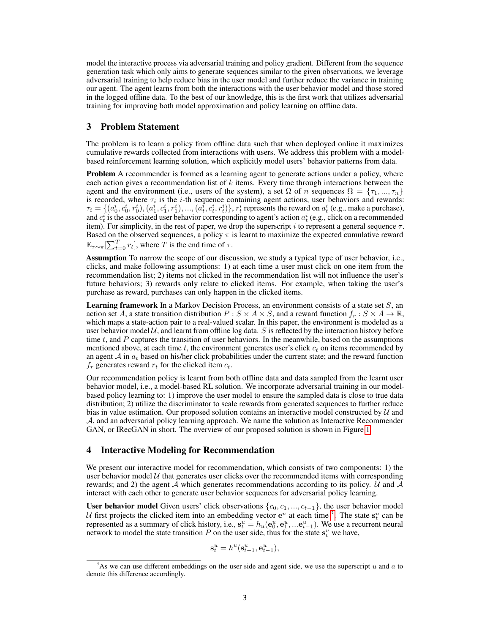model the interactive process via adversarial training and policy gradient. Different from the sequence generation task which only aims to generate sequences similar to the given observations, we leverage adversarial training to help reduce bias in the user model and further reduce the variance in training our agent. The agent learns from both the interactions with the user behavior model and those stored in the logged offline data. To the best of our knowledge, this is the first work that utilizes adversarial training for improving both model approximation and policy learning on offline data.

### 3 Problem Statement

The problem is to learn a policy from offline data such that when deployed online it maximizes cumulative rewards collected from interactions with users. We address this problem with a modelbased reinforcement learning solution, which explicitly model users' behavior patterns from data.

Problem A recommender is formed as a learning agent to generate actions under a policy, where each action gives a recommendation list of  $k$  items. Every time through interactions between the agent and the environment (i.e., users of the system), a set  $\Omega$  of n sequences  $\Omega = \{\tau_1, ..., \tau_n\}$ is recorded, where  $\tau_i$  is the *i*-th sequence containing agent actions, user behaviors and rewards:  $\tau_i = \{(a_0^i, c_0^i, r_0^i), (a_1^i, c_1^i, r_1^i), ..., (a_t^i, c_t^i, r_t^i)\}, r_t^i$  represents the reward on  $a_t^i$  (e.g., make a purchase), and  $c_t^i$  is the associated user behavior corresponding to agent's action  $a_t^i$  (e.g., click on a recommended item). For simplicity, in the rest of paper, we drop the superscript i to represent a general sequence  $\tau$ . Based on the observed sequences, a policy  $\pi$  is learnt to maximize the expected cumulative reward  $\mathbb{E}_{\tau \sim \pi}[\sum_{t=0}^{T} r_t]$ , where T is the end time of  $\tau$ .

Assumption To narrow the scope of our discussion, we study a typical type of user behavior, i.e., clicks, and make following assumptions: 1) at each time a user must click on one item from the recommendation list; 2) items not clicked in the recommendation list will not influence the user's future behaviors; 3) rewards only relate to clicked items. For example, when taking the user's purchase as reward, purchases can only happen in the clicked items.

**Learning framework** In a Markov Decision Process, an environment consists of a state set  $S$ , an action set A, a state transition distribution  $P : S \times A \times S$ , and a reward function  $f_r : S \times A \rightarrow \mathbb{R}$ , which maps a state-action pair to a real-valued scalar. In this paper, the environment is modeled as a user behavior model  $U$ , and learnt from offline log data. S is reflected by the interaction history before time  $t$ , and  $P$  captures the transition of user behaviors. In the meanwhile, based on the assumptions mentioned above, at each time t, the environment generates user's click  $c_t$  on items recommended by an agent  $A$  in  $a_t$  based on his/her click probabilities under the current state; and the reward function  $f_r$  generates reward  $r_t$  for the clicked item  $c_t$ .

Our recommendation policy is learnt from both offline data and data sampled from the learnt user behavior model, i.e., a model-based RL solution. We incorporate adversarial training in our modelbased policy learning to: 1) improve the user model to ensure the sampled data is close to true data distribution; 2) utilize the discriminator to scale rewards from generated sequences to further reduce bias in value estimation. Our proposed solution contains an interactive model constructed by  $U$  and A, and an adversarial policy learning approach. We name the solution as Interactive Recommender GAN, or IRecGAN in short. The overview of our proposed solution is shown in Figure 1.

### 4 Interactive Modeling for Recommendation

We present our interactive model for recommendation, which consists of two components: 1) the user behavior model  $U$  that generates user clicks over the recommended items with corresponding rewards; and 2) the agent  $A$  which generates recommendations according to its policy. U and  $A$ interact with each other to generate user behavior sequences for adversarial policy learning.

User behavior model Given users' click observations  $\{c_0, c_1, ..., c_{t-1}\}$ , the user behavior model U first projects the clicked item into an embedding vector  $e^u$  at each time <sup>3</sup>. The state  $s_t^u$  can be represented as a summary of click history, i.e.,  $s_t^u = h_u(e_0^u, e_1^u, ... e_{t-1}^u)$ . We use a recurrent neural network to model the state transition P on the user side, thus for the state  $s_t^u$  we have,

$$
\mathbf{s}_t^u = h^u(\mathbf{s}_{t-1}^u, \mathbf{e}_{t-1}^u),
$$

 $3$ As we can use different embeddings on the user side and agent side, we use the superscript u and a to denote this difference accordingly.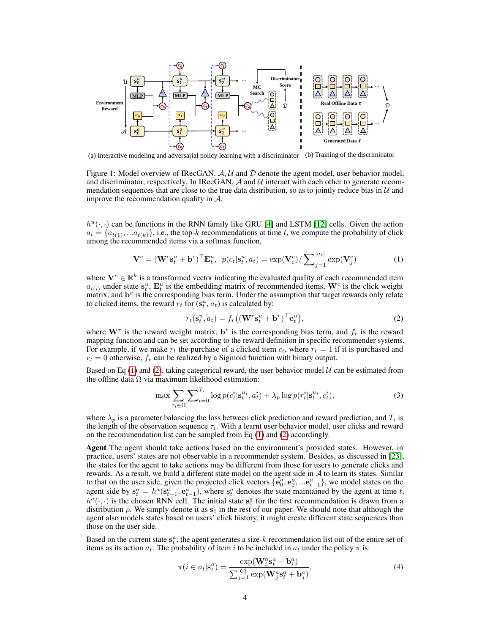

(a) Interactive modeling and adversarial policy learning with a discriminator (b) Training of the discriminator

Figure 1: Model overview of IRecGAN.  $A, U$  and  $D$  denote the agent model, user behavior model, and discriminator, respectively. In IRecGAN,  $\mathcal A$  and  $\mathcal U$  interact with each other to generate recommendation sequences that are close to the true data distribution, so as to jointly reduce bias in  $\mathcal{U}$  and improve the recommendation quality in A.

 $h^u(\cdot, \cdot)$  can be functions in the RNN family like GRU [4] and LSTM [12] cells. Given the action  $a_t = \{a_{t(1)}, \ldots a_{t(k)}\}\$ , i.e., the top-k recommendations at time t, we compute the probability of click among the recommended items via a softmax function,

$$
\mathbf{V}^c = (\mathbf{W}^c \mathbf{s}_t^u + \mathbf{b}^c)^\top \mathbf{E}_t^u, \ p(c_t | \mathbf{s}_t^u, a_t) = \exp(\mathbf{V}_i^c) / \sum_{j=1}^{|a_t|} \exp(\mathbf{V}_j^c)
$$
(1)

where  $V^c \in \mathbb{R}^k$  is a transformed vector indicating the evaluated quality of each recommended item  $a_{t(i)}$  under state  $s_t^u$ ,  $\mathbf{E}_t^u$  is the embedding matrix of recommended items,  $\mathbf{W}^c$  is the click weight matrix, and  $\mathbf{b}^c$  is the corresponding bias term. Under the assumption that target rewards only relate to clicked items, the reward  $r_t$  for  $(s_t^u, a_t)$  is calculated by:

$$
r_t(\mathbf{s}_t^u, a_t) = f_r((\mathbf{W}^r \mathbf{s}_t^u + \mathbf{b}^r)^\top \mathbf{e}_t^u),
$$
\n(2)

where  $W^r$  is the reward weight matrix,  $\mathbf{b}^r$  is the corresponding bias term, and  $f_r$  is the reward mapping function and can be set according to the reward definition in specific recommender systems. For example, if we make  $r_t$  the purchase of a clicked item  $c_t$ , where  $r_t = 1$  if it is purchased and  $r_t = 0$  otherwise,  $f_r$  can be realized by a Sigmoid function with binary output.

Based on Eq (1) and (2), taking categorical reward, the user behavior model  $U$  can be estimated from the offline data  $\Omega$  via maximum likelihood estimation:

$$
\max \sum_{\tau_i \in \Omega} \sum_{t=0}^{T_i} \log p(c_t^i | \mathbf{s}_t^{u_i}, a_t^i) + \lambda_p \log p(r_t^i | \mathbf{s}_t^{u_i}, c_t^i), \tag{3}
$$

where  $\lambda_p$  is a parameter balancing the loss between click prediction and reward prediction, and  $T_i$  is the length of the observation sequence  $\tau_i$ . With a learnt user behavior model, user clicks and reward on the recommendation list can be sampled from Eq (1) and (2) accordingly.

Agent The agent should take actions based on the environment's provided states. However, in practice, users' states are not observable in a recommender system. Besides, as discussed in [23], the states for the agent to take actions may be different from those for users to generate clicks and rewards. As a result, we build a different state model on the agent side in  $A$  to learn its states. Similar to that on the user side, given the projected click vectors  $\{e_0^a, e_2^a, ... e_{t-1}^a\}$ , we model states on the agent side by  $s_t^a = h^a(s_{t-1}^a, e_{t-1}^a)$ , where  $s_t^a$  denotes the state maintained by the agent at time t,  $h^a(\cdot, \cdot)$  is the chosen RNN cell. The initial state  $s_0^a$  for the first recommendation is drawn from a distribution  $\rho$ . We simply denote it as  $s_0$  in the rest of our paper. We should note that although the agent also models states based on users' click history, it might create different state sequences than those on the user side.

Based on the current state  $s_t^a$ , the agent generates a size-k recommendation list out of the entire set of items as its action  $a_t$ . The probability of item i to be included in  $a_t$  under the policy  $\pi$  is:

$$
\pi(i \in a_t | \mathbf{s}_t^a) = \frac{\exp(\mathbf{W}_i^a \mathbf{s}_t^a + \mathbf{b}_i^a)}{\sum_{j=1}^{|C|} \exp(\mathbf{W}_j^a \mathbf{s}_t^a + \mathbf{b}_j^a)},
$$
\n(4)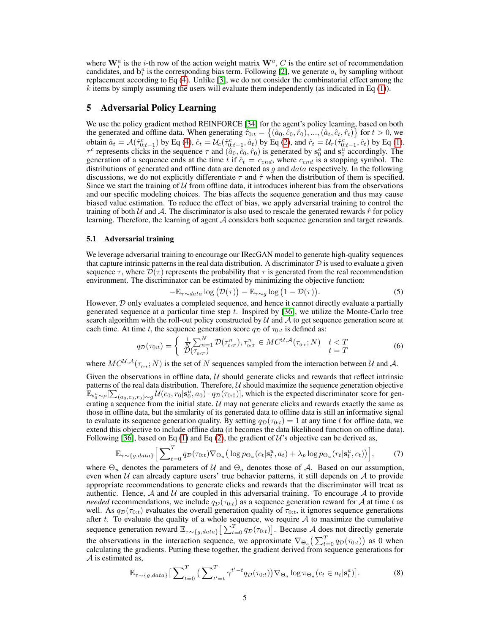where  $\mathbf{W}_i^a$  is the *i*-th row of the action weight matrix  $\mathbf{W}^a$ , *C* is the entire set of recommendation candidates, and  $\mathbf{b}_i^a$  is the corresponding bias term. Following [2], we generate  $a_t$  by sampling without replacement according to Eq (4). Unlike [3], we do not consider the combinatorial effect among the  $k$  items by simply assuming the users will evaluate them independently (as indicated in Eq  $(1)$ ).

## 5 Adversarial Policy Learning

We use the policy gradient method REINFORCE [34] for the agent's policy learning, based on both the generated and offline data. When generating  $\hat{\tau}_{0:t} = \{(\hat{a}_0, \hat{c}_0, \hat{r}_0), ..., (\hat{a}_t, \hat{c}_t, \hat{r}_t)\}\$  for  $t > 0$ , we obtain  $\hat{a}_t = \mathcal{A}(\hat{\tau}_{0:t-1}^c)$  by Eq (4),  $\hat{c}_t = \mathcal{U}_c(\hat{\tau}_{0:t-1}^c, \hat{a}_t)$  by Eq (2), and  $\hat{r}_t = \mathcal{U}_r(\hat{\tau}_{0:t-1}^c, \hat{c}_t)$  by Eq (1).  $\tau^c$  represents clicks in the sequence  $\tau$  and  $(\hat{a}_0, \hat{c}_0, \hat{r}_0)$  is generated by  $s_0^a$  and  $s_0^u$  accordingly. The generation of a sequence ends at the time t if  $\hat{c}_t = c_{end}$ , where  $c_{end}$  is a stopping symbol. The distributions of generated and offline data are denoted as  $g$  and  $data$  respectively. In the following discussions, we do not explicitly differentiate  $\tau$  and  $\hat{\tau}$  when the distribution of them is specified. Since we start the training of  $U$  from offline data, it introduces inherent bias from the observations and our specific modeling choices. The bias affects the sequence generation and thus may cause biased value estimation. To reduce the effect of bias, we apply adversarial training to control the training of both  $U$  and  $A$ . The discriminator is also used to rescale the generated rewards  $\hat{r}$  for policy learning. Therefore, the learning of agent A considers both sequence generation and target rewards.

### 5.1 Adversarial training

We leverage adversarial training to encourage our IRecGAN model to generate high-quality sequences that capture intrinsic patterns in the real data distribution. A discriminator  $D$  is used to evaluate a given sequence  $\tau$ , where  $\mathcal{D}(\tau)$  represents the probability that  $\tau$  is generated from the real recommendation environment. The discriminator can be estimated by minimizing the objective function:

$$
-\mathbb{E}_{\tau \sim data} \log \big( \mathcal{D}(\tau) \big) - \mathbb{E}_{\tau \sim g} \log \big( 1 - \mathcal{D}(\tau) \big). \tag{5}
$$

However,  $D$  only evaluates a completed sequence, and hence it cannot directly evaluate a partially generated sequence at a particular time step  $t$ . Inspired by [36], we utilize the Monte-Carlo tree search algorithm with the roll-out policy constructed by  $\mathcal U$  and  $\mathcal A$  to get sequence generation score at each time. At time t, the sequence generation score  $q_{\mathcal{D}}$  of  $\tau_{0:t}$  is defined as:

$$
q_{\mathcal{D}}(\tau_{0:t}) = \begin{cases} \frac{1}{N} \sum_{n=1}^{N} \mathcal{D}(\tau_{0:T}^n), \tau_{0:T}^n \in MC^{\mathcal{U},\mathcal{A}}(\tau_{0:t}; N) & t < T \\ \mathcal{D}(\tau_{0:T}) & t = T \end{cases} \tag{6}
$$

where  $MC^{U,A}(\tau_{0:t};N)$  is the set of N sequences sampled from the interaction between U and A.

Given the observations in offline data,  $U$  should generate clicks and rewards that reflect intrinsic patterns of the real data distribution. Therefore,  $U$  should maximize the sequence generation objective  $\mathbb{E}_{\mathbf{s}_0^u \sim \rho}[\sum_{(a_0, c_0, r_0) \sim g} \mathcal{U}(c_0, r_0 | \mathbf{s}_0^u, a_0) \cdot q_{\mathcal{D}}(\tau_{0:0})]$ , which is the expected discriminator score for generating a sequence from the initial state.  $U$  may not generate clicks and rewards exactly the same as those in offline data, but the similarity of its generated data to offline data is still an informative signal to evaluate its sequence generation quality. By setting  $q_{\mathcal{D}}(\tau_{0:t}) = 1$  at any time t for offline data, we extend this objective to include offline data (it becomes the data likelihood function on offline data). Following [36], based on Eq (1) and Eq (2), the gradient of  $\mathcal{U}$ 's objective can be derived as,

$$
\mathbb{E}_{\tau \sim \{g, data\}} \Big[ \sum\nolimits_{t=0}^{T} q_{\mathcal{D}}(\tau_{0:t}) \nabla_{\Theta_u} \big( \log p_{\Theta_u}(c_t | \mathbf{s}_t^u, a_t) + \lambda_p \log p_{\Theta_u}(r_t | \mathbf{s}_t^u, c_t) \big) \Big],\tag{7}
$$

where  $\Theta_u$  denotes the parameters of U and  $\Theta_a$  denotes those of A. Based on our assumption, even when  $U$  can already capture users' true behavior patterns, it still depends on  $A$  to provide appropriate recommendations to generate clicks and rewards that the discriminator will treat as authentic. Hence,  $A$  and  $U$  are coupled in this adversarial training. To encourage  $A$  to provide *needed* recommendations, we include  $q_{\mathcal{D}}(\tau_{0:t})$  as a sequence generation reward for A at time t as well. As  $q_D(\tau_{0:t})$  evaluates the overall generation quality of  $\tau_{0:t}$ , it ignores sequence generations after t. To evaluate the quality of a whole sequence, we require  $A$  to maximize the cumulative sequence generation reward  $\mathbb{E}_{\tau \sim \{g, data\}} \left[ \sum_{t=0}^{T} q_{\mathcal{D}}(\tau_{0:t}) \right]$ . Because A does not directly generate the observations in the interaction sequence, we approximate  $\nabla_{\Theta_a} \left( \sum_{t=0}^T q_D(\tau_{0:t}) \right)$  as 0 when calculating the gradients. Putting these together, the gradient derived from sequence generations for A is estimated as,

$$
\mathbb{E}_{\tau \sim \{g, data\}} \big[ \sum_{t=0}^{T} \big( \sum_{t'=t}^{T} \gamma^{t'-t} q_{\mathcal{D}}(\tau_{0:t}) \big) \nabla_{\Theta_a} \log \pi_{\Theta_a}(c_t \in a_t | \mathbf{s}_t^a) \big]. \tag{8}
$$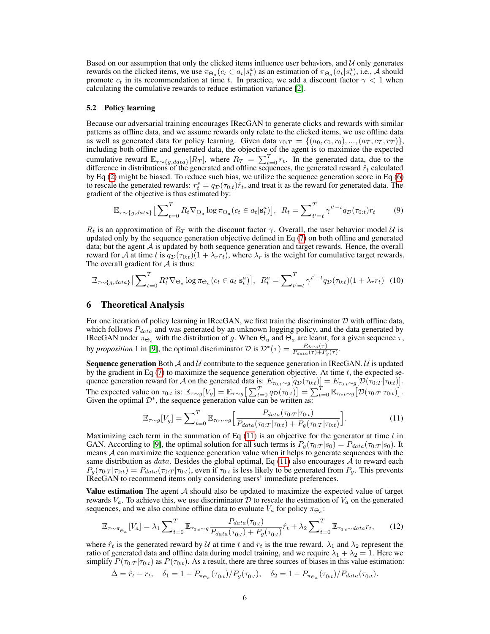Based on our assumption that only the clicked items influence user behaviors, and  $U$  only generates rewards on the clicked items, we use  $\pi_{\Theta_a}(c_t \in a_t | s_t^a)$  as an estimation of  $\pi_{\Theta_a}(a_t | s_t^a)$ , i.e., A should promote  $c_t$  in its recommendation at time t. In practice, we add a discount factor  $\gamma < 1$  when calculating the cumulative rewards to reduce estimation variance [2].

#### 5.2 Policy learning

Because our adversarial training encourages IRecGAN to generate clicks and rewards with similar patterns as offline data, and we assume rewards only relate to the clicked items, we use offline data as well as generated data for policy learning. Given data  $\tau_{0:T} = \{(a_0, c_0, r_0), ..., (a_T, c_T, r_T)\}\,$ including both offline and generated data, the objective of the agent is to maximize the expected cumulative reward  $\mathbb{E}_{\tau \sim \{g, data\}}[R_T]$ , where  $R_T = \sum_{t=0}^T r_t$ . In the generated data, due to the difference in distributions of the generated and offline sequences, the generated reward  $\hat{r}_t$  calculated by Eq (2) might be biased. To reduce such bias, we utilize the sequence generation score in Eq (6) to rescale the generated rewards:  $r_t^s = q_D(\tau_{0:t})\hat{r}_t$ , and treat it as the reward for generated data. The gradient of the objective is thus estimated by:

$$
\mathbb{E}_{\tau \sim \{g, data\}} \left[ \sum_{t=0}^{T} R_t \nabla_{\Theta_a} \log \pi_{\Theta_a} (c_t \in a_t | \mathbf{s}_t^a) \right], \ R_t = \sum_{t'=t}^{T} \gamma^{t'-t} q_{\mathcal{D}}(\tau_{0:t}) r_t \tag{9}
$$

 $R_t$  is an approximation of  $R_T$  with the discount factor  $\gamma$ . Overall, the user behavior model U is updated only by the sequence generation objective defined in Eq (7) on both offline and generated data; but the agent  $A$  is updated by both sequence generation and target rewards. Hence, the overall reward for A at time t is  $q_{\mathcal{D}}(\tau_{0:t})(1 + \lambda_r r_t)$ , where  $\lambda_r$  is the weight for cumulative target rewards. The overall gradient for  $A$  is thus:

$$
\mathbb{E}_{\tau \sim \{g, data\}} \left[ \sum_{t=0}^{T} R_t^a \nabla_{\Theta_a} \log \pi_{\Theta_a}(c_t \in a_t | \mathbf{s}_t^a) \right], \ R_t^a = \sum_{t'=t}^{T} \gamma^{t'-t} q_{\mathcal{D}}(\tau_{0:t})(1 + \lambda_r r_t) \tag{10}
$$

### 6 Theoretical Analysis

For one iteration of policy learning in IRecGAN, we first train the discriminator  $D$  with offline data, which follows  $P_{data}$  and was generated by an unknown logging policy, and the data generated by IRecGAN under  $\pi_{\Theta_a}$  with the distribution of g. When  $\Theta_u$  and  $\Theta_a$  are learnt, for a given sequence  $\tau$ , by *proposition* 1 in [9], the optimal discriminator D is  $\mathcal{D}^*(\tau) = \frac{P_{data}(\tau)}{P_{data}(\tau) + P_g(\tau)}$ .

**Sequence generation** Both  $\mathcal A$  and  $\mathcal U$  contribute to the sequence generation in IRecGAN.  $\mathcal U$  is updated by the gradient in Eq  $(7)$  to maximize the sequence generation objective. At time t, the expected sequence generation reward for A on the generated data is:  $E_{\tau_{0:t} \sim g}[q_{\mathcal{D}}(\tau_{0:t})] = E_{\tau_{0:t} \sim g}[\mathcal{D}(\tau_{0:T}|\tau_{0:t})]$ . The expected value on  $\tau_{0:t}$  is:  $\mathbb{E}_{\tau \sim g}[V_g] = \mathbb{E}_{\tau \sim g} \left[ \sum_{t=0}^T q_{\mathcal{D}}(\tau_{0:t}) \right] = \sum_{t=0}^T \mathbb{E}_{\tau_{0:t} \sim g} \left[ \mathcal{D}(\tau_{0:T} | \tau_{0:t}) \right]$ . Given the optimal  $\mathcal{D}^*$ , the sequence generation value can be written as:

$$
\mathbb{E}_{\tau \sim g}[V_g] = \sum_{t=0}^{T} \mathbb{E}_{\tau_{0:t} \sim g} \Big[ \frac{P_{data}(\tau_{0:T}|\tau_{0:t})}{P_{data}(\tau_{0:T}|\tau_{0:t}) + P_g(\tau_{0:T}|\tau_{0:t})} \Big]. \tag{11}
$$

Maximizing each term in the summation of Eq  $(11)$  is an objective for the generator at time t in GAN. According to [9], the optimal solution for all such terms is  $P_g(\tau_{0:T} | s_0) = P_{data}(\tau_{0:T} | s_0)$ . It means A can maximize the sequence generation value when it helps to generate sequences with the same distribution as  $data$ . Besides the global optimal, Eq (11) also encourages A to reward each  $P_g(\tau_{0:T} | \tau_{0:t}) = P_{data}(\tau_{0:T} | \tau_{0:t})$ , even if  $\tau_{0:t}$  is less likely to be generated from  $P_g$ . This prevents IRecGAN to recommend items only considering users' immediate preferences.

Value estimation The agent  $A$  should also be updated to maximize the expected value of target rewards  $V_a$ . To achieve this, we use discriminator D to rescale the estimation of  $V_a$  on the generated sequences, and we also combine offline data to evaluate  $V_a$  for policy  $\pi_{\Theta_a}$ :

$$
\mathbb{E}_{\tau \sim \pi_{\Theta_a}}[V_a] = \lambda_1 \sum_{t=0}^T \mathbb{E}_{\tau_{0:t} \sim g} \frac{P_{data}(\tau_{0:t})}{P_{data}(\tau_{0:t}) + P_g(\tau_{0:t})} \hat{r}_t + \lambda_2 \sum_{t=0}^T \mathbb{E}_{\tau_{0:t} \sim data} r_t,
$$
(12)

where  $\hat{r}_t$  is the generated reward by U at time t and  $r_t$  is the true reward.  $\lambda_1$  and  $\lambda_2$  represent the ratio of generated data and offline data during model training, and we require  $\lambda_1 + \lambda_2 = 1$ . Here we simplify  $P(\tau_{0:T} | \tau_{0:t})$  as  $P(\tau_{0:t})$ . As a result, there are three sources of biases in this value estimation:

$$
\Delta = \hat{r}_t - r_t, \quad \delta_1 = 1 - P_{\pi_{\Theta_a}}(\tau_{0:t}) / P_g(\tau_{0:t}), \quad \delta_2 = 1 - P_{\pi_{\Theta_a}}(\tau_{0:t}) / P_{data}(\tau_{0:t}).
$$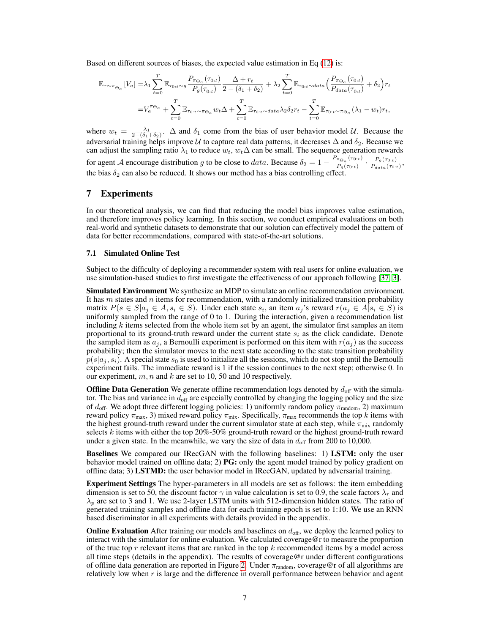Based on different sources of biases, the expected value estimation in Eq (12) is:

$$
\mathbb{E}_{\tau \sim \pi_{\Theta_a}}[V_a] = \lambda_1 \sum_{t=0}^T \mathbb{E}_{\tau_{0:t} \sim g} \frac{P_{\pi_{\Theta_a}}(\tau_{0:t})}{P_g(\tau_{0:t})} \frac{\Delta + r_t}{2 - (\delta_1 + \delta_2)} + \lambda_2 \sum_{t=0}^T \mathbb{E}_{\tau_{0:t} \sim data} \left(\frac{P_{\pi_{\Theta_a}}(\tau_{0:t})}{P_{data}(\tau_{0:t})} + \delta_2\right) r_t
$$

$$
= V_a^{\pi_{\Theta_a}} + \sum_{t=0}^T \mathbb{E}_{\tau_{0:t} \sim \pi_{\Theta_a}} w_t \Delta + \sum_{t=0}^T \mathbb{E}_{\tau_{0:t} \sim data} \lambda_2 \delta_2 r_t - \sum_{t=0}^T \mathbb{E}_{\tau_{0:t} \sim \pi_{\Theta_a}} (\lambda_1 - w_t) r_t,
$$

where  $w_t = \frac{\lambda_1}{2-(\delta_1+\delta_2)}$ .  $\Delta$  and  $\delta_1$  come from the bias of user behavior model U. Because the adversarial training helps improve  $U$  to capture real data patterns, it decreases  $\Delta$  and  $\delta_2$ . Because we can adjust the sampling ratio  $\lambda_1$  to reduce  $w_t$ ,  $w_t\Delta$  can be small. The sequence generation rewards for agent A encourage distribution g to be close to data. Because  $\delta_2 = 1 - \frac{P_{\pi_{\Theta_a}}(\tau_{0:t})}{P_{\pi_{\Theta_a}}(\tau_{0:t})}$  $\frac{P_{\pi_{\Theta_a}}(\tau_{0:t})}{P_g(\tau_{0:t})}\cdot \frac{P_g(\tau_{0:t})}{P_{data}(\tau_{0:t})}$  $\frac{\Gamma_g(\tau_{0:t})}{P_{data}(\tau_{0:t})},$ the bias  $\delta_2$  can also be reduced. It shows our method has a bias controlling effect.

# 7 Experiments

In our theoretical analysis, we can find that reducing the model bias improves value estimation, and therefore improves policy learning. In this section, we conduct empirical evaluations on both real-world and synthetic datasets to demonstrate that our solution can effectively model the pattern of data for better recommendations, compared with state-of-the-art solutions.

#### 7.1 Simulated Online Test

Subject to the difficulty of deploying a recommender system with real users for online evaluation, we use simulation-based studies to first investigate the effectiveness of our approach following [37, 3].

**Simulated Environment** We synthesize an MDP to simulate an online recommendation environment. It has  $m$  states and  $n$  items for recommendation, with a randomly initialized transition probability matrix  $P(s \in S | a_j \in A, s_i \in S)$ . Under each state  $s_i$ , an item  $a_j$ 's reward  $r(a_j \in A | s_i \in S)$  is uniformly sampled from the range of 0 to 1. During the interaction, given a recommendation list including  $k$  items selected from the whole item set by an agent, the simulator first samples an item proportional to its ground-truth reward under the current state  $s_i$  as the click candidate. Denote the sampled item as  $a_j$ , a Bernoulli experiment is performed on this item with  $r(a_j)$  as the success probability; then the simulator moves to the next state according to the state transition probability  $p(s|a_j, s_i)$ . A special state  $s_0$  is used to initialize all the sessions, which do not stop until the Bernoulli experiment fails. The immediate reward is 1 if the session continues to the next step; otherwise 0. In our experiment,  $m, n$  and  $k$  are set to 10, 50 and 10 respectively.

**Offline Data Generation** We generate offline recommendation logs denoted by  $d_{\text{off}}$  with the simulator. The bias and variance in  $d_{\text{off}}$  are especially controlled by changing the logging policy and the size of  $d_{\text{off}}$ . We adopt three different logging policies: 1) uniformly random policy  $\pi_{\text{random}}$ , 2) maximum reward policy  $\pi_{\text{max}}$ , 3) mixed reward policy  $\pi_{\text{mix}}$ . Specifically,  $\pi_{\text{max}}$  recommends the top k items with the highest ground-truth reward under the current simulator state at each step, while  $\pi_{mix}$  randomly selects k items with either the top  $20\%$ -50% ground-truth reward or the highest ground-truth reward under a given state. In the meanwhile, we vary the size of data in  $d_{\text{off}}$  from 200 to 10,000.

Baselines We compared our IRecGAN with the following baselines: 1) LSTM: only the user behavior model trained on offline data; 2) PG: only the agent model trained by policy gradient on offline data; 3) LSTMD: the user behavior model in IRecGAN, updated by adversarial training.

Experiment Settings The hyper-parameters in all models are set as follows: the item embedding dimension is set to 50, the discount factor  $\gamma$  in value calculation is set to 0.9, the scale factors  $\lambda_r$  and  $\lambda_p$  are set to 3 and 1. We use 2-layer LSTM units with 512-dimension hidden states. The ratio of generated training samples and offline data for each training epoch is set to 1:10. We use an RNN based discriminator in all experiments with details provided in the appendix.

**Online Evaluation** After training our models and baselines on  $d_{\text{off}}$ , we deploy the learned policy to interact with the simulator for online evaluation. We calculated coverage@r to measure the proportion of the true top  $r$  relevant items that are ranked in the top  $k$  recommended items by a model across all time steps (details in the appendix). The results of coverage@r under different configurations of offline data generation are reported in Figure 2. Under  $\pi_{random}$ , coverage@r of all algorithms are relatively low when  $r$  is large and the difference in overall performance between behavior and agent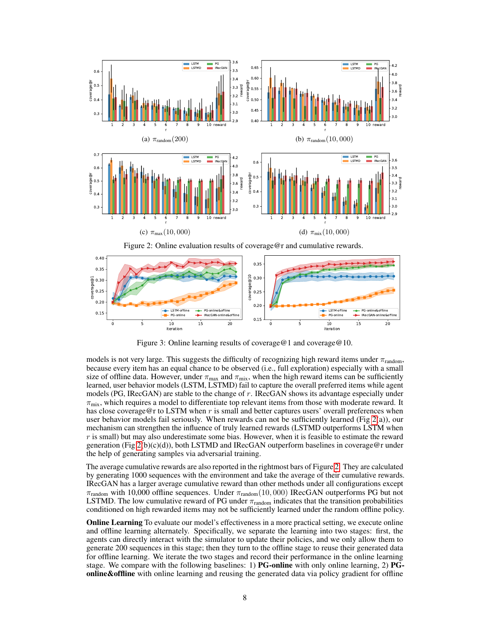

Figure 2: Online evaluation results of coverage@r and cumulative rewards.



Figure 3: Online learning results of coverage@1 and coverage@10.

models is not very large. This suggests the difficulty of recognizing high reward items under  $\pi_{\text{random}}$ , because every item has an equal chance to be observed (i.e., full exploration) especially with a small size of offline data. However, under  $\pi_{\text{max}}$  and  $\pi_{\text{mix}}$ , when the high reward items can be sufficiently learned, user behavior models (LSTM, LSTMD) fail to capture the overall preferred items while agent models (PG, IRecGAN) are stable to the change of  $r$ . IRecGAN shows its advantage especially under  $\pi_{\text{mix}}$ , which requires a model to differentiate top relevant items from those with moderate reward. It has close coverage@r to LSTM when  $r$  is small and better captures users' overall preferences when user behavior models fail seriously. When rewards can not be sufficiently learned (Fig  $2(a)$ ), our mechanism can strengthen the influence of truly learned rewards (LSTMD outperforms LSTM when  $r$  is small) but may also underestimate some bias. However, when it is feasible to estimate the reward generation (Fig  $2(b)(c)(d)$ ), both LSTMD and IRecGAN outperform baselines in coverage@r under the help of generating samples via adversarial training.

The average cumulative rewards are also reported in the rightmost bars of Figure 2. They are calculated by generating 1000 sequences with the environment and take the average of their cumulative rewards. IRecGAN has a larger average cumulative reward than other methods under all configurations except  $\pi_{\text{random}}$  with 10,000 offline sequences. Under  $\pi_{\text{random}}(10,000)$  IRecGAN outperforms PG but not LSTMD. The low cumulative reward of PG under  $\pi_{random}$  indicates that the transition probabilities conditioned on high rewarded items may not be sufficiently learned under the random offline policy.

**Online Learning** To evaluate our model's effectiveness in a more practical setting, we execute online and offline learning alternately. Specifically, we separate the learning into two stages: first, the agents can directly interact with the simulator to update their policies, and we only allow them to generate 200 sequences in this stage; then they turn to the offline stage to reuse their generated data for offline learning. We iterate the two stages and record their performance in the online learning stage. We compare with the following baselines: 1) PG-online with only online learning, 2) PG**online&offline** with online learning and reusing the generated data via policy gradient for offline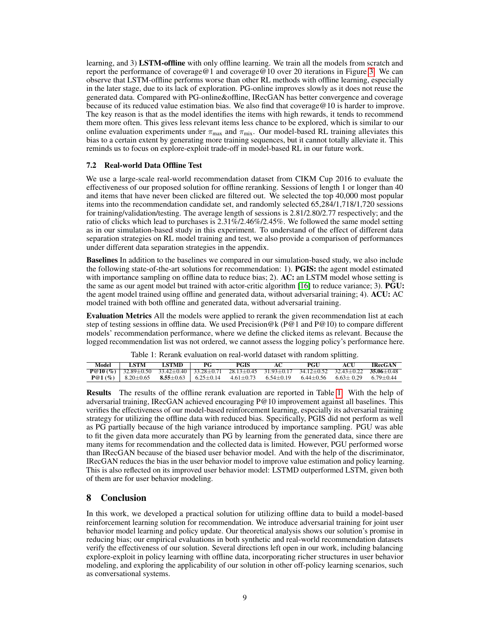learning, and 3) LSTM-offline with only offline learning. We train all the models from scratch and report the performance of coverage@1 and coverage@10 over 20 iterations in Figure 3. We can observe that LSTM-offline performs worse than other RL methods with offline learning, especially in the later stage, due to its lack of exploration. PG-online improves slowly as it does not reuse the generated data. Compared with PG-online&offline, IRecGAN has better convergence and coverage because of its reduced value estimation bias. We also find that coverage@10 is harder to improve. The key reason is that as the model identifies the items with high rewards, it tends to recommend them more often. This gives less relevant items less chance to be explored, which is similar to our online evaluation experiments under  $\pi_{\text{max}}$  and  $\pi_{\text{mix}}$ . Our model-based RL training alleviates this bias to a certain extent by generating more training sequences, but it cannot totally alleviate it. This reminds us to focus on explore-exploit trade-off in model-based RL in our future work.

### 7.2 Real-world Data Offline Test

We use a large-scale real-world recommendation dataset from CIKM Cup 2016 to evaluate the effectiveness of our proposed solution for offline reranking. Sessions of length 1 or longer than 40 and items that have never been clicked are filtered out. We selected the top 40,000 most popular items into the recommendation candidate set, and randomly selected 65,284/1,718/1,720 sessions for training/validation/testing. The average length of sessions is 2.81/2.80/2.77 respectively; and the ratio of clicks which lead to purchases is 2.31%/2.46%/2.45%. We followed the same model setting as in our simulation-based study in this experiment. To understand of the effect of different data separation strategies on RL model training and test, we also provide a comparison of performances under different data separation strategies in the appendix.

Baselines In addition to the baselines we compared in our simulation-based study, we also include the following state-of-the-art solutions for recommendation: 1). PGIS: the agent model estimated with importance sampling on offline data to reduce bias; 2). AC: an LSTM model whose setting is the same as our agent model but trained with actor-critic algorithm [16] to reduce variance; 3). **PGU:** the agent model trained using offline and generated data, without adversarial training; 4). ACU: AC model trained with both offline and generated data, without adversarial training.

Evaluation Metrics All the models were applied to rerank the given recommendation list at each step of testing sessions in offline data. We used Precision@k (P@1 and P@10) to compare different models' recommendation performance, where we define the clicked items as relevant. Because the logged recommendation list was not ordered, we cannot assess the logging policy's performance here.

| Table 1: Rerank evaluation on real-world dataset with random splitting. |  |  |
|-------------------------------------------------------------------------|--|--|
|-------------------------------------------------------------------------|--|--|

| Model <b>ISTM</b> | <b>EXTMD</b> PG | PGIS                                                                                                | AC | PGU | ACU | <b>IRecGAN</b> |
|-------------------|-----------------|-----------------------------------------------------------------------------------------------------|----|-----|-----|----------------|
|                   |                 | $P@10 (\%)$ 32.89±0.50 33.42±0.40 33.28±0.71 28.13±0.45 31.93±0.17 34.12±0.52 32.43±0.22 35.06±0.48 |    |     |     |                |
|                   |                 | $P@1(\%)$   8.20±0.65 8.55±0.63   6.25±0.14 4.61±0.73 6.54±0.19 6.44±0.56 6.63±0.29 6.79±0.44       |    |     |     |                |

Results The results of the offline rerank evaluation are reported in Table 1. With the help of adversarial training, IRecGAN achieved encouraging P@10 improvement against all baselines. This verifies the effectiveness of our model-based reinforcement learning, especially its adversarial training strategy for utilizing the offline data with reduced bias. Specifically, PGIS did not perform as well as PG partially because of the high variance introduced by importance sampling. PGU was able to fit the given data more accurately than PG by learning from the generated data, since there are many items for recommendation and the collected data is limited. However, PGU performed worse than IRecGAN because of the biased user behavior model. And with the help of the discriminator, IRecGAN reduces the bias in the user behavior model to improve value estimation and policy learning. This is also reflected on its improved user behavior model: LSTMD outperformed LSTM, given both of them are for user behavior modeling.

# 8 Conclusion

In this work, we developed a practical solution for utilizing offline data to build a model-based reinforcement learning solution for recommendation. We introduce adversarial training for joint user behavior model learning and policy update. Our theoretical analysis shows our solution's promise in reducing bias; our empirical evaluations in both synthetic and real-world recommendation datasets verify the effectiveness of our solution. Several directions left open in our work, including balancing explore-exploit in policy learning with offline data, incorporating richer structures in user behavior modeling, and exploring the applicability of our solution in other off-policy learning scenarios, such as conversational systems.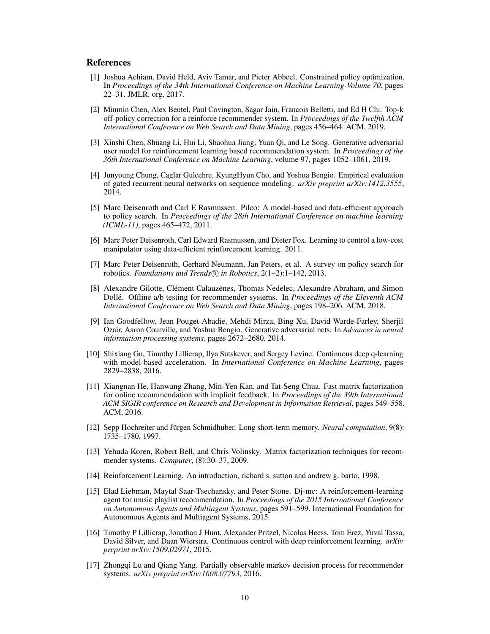### References

- [1] Joshua Achiam, David Held, Aviv Tamar, and Pieter Abbeel. Constrained policy optimization. In *Proceedings of the 34th International Conference on Machine Learning-Volume 70*, pages 22–31. JMLR. org, 2017.
- [2] Minmin Chen, Alex Beutel, Paul Covington, Sagar Jain, Francois Belletti, and Ed H Chi. Top-k off-policy correction for a reinforce recommender system. In *Proceedings of the Twelfth ACM International Conference on Web Search and Data Mining*, pages 456–464. ACM, 2019.
- [3] Xinshi Chen, Shuang Li, Hui Li, Shaohua Jiang, Yuan Qi, and Le Song. Generative adversarial user model for reinforcement learning based recommendation system. In *Proceedings of the 36th International Conference on Machine Learning*, volume 97, pages 1052–1061, 2019.
- [4] Junyoung Chung, Caglar Gulcehre, KyungHyun Cho, and Yoshua Bengio. Empirical evaluation of gated recurrent neural networks on sequence modeling. *arXiv preprint arXiv:1412.3555*, 2014.
- [5] Marc Deisenroth and Carl E Rasmussen. Pilco: A model-based and data-efficient approach to policy search. In *Proceedings of the 28th International Conference on machine learning (ICML-11)*, pages 465–472, 2011.
- [6] Marc Peter Deisenroth, Carl Edward Rasmussen, and Dieter Fox. Learning to control a low-cost manipulator using data-efficient reinforcement learning. 2011.
- [7] Marc Peter Deisenroth, Gerhard Neumann, Jan Peters, et al. A survey on policy search for robotics. *Foundations and Trends* (R) in Robotics, 2(1-2):1-142, 2013.
- [8] Alexandre Gilotte, Clément Calauzènes, Thomas Nedelec, Alexandre Abraham, and Simon Dollé. Offline a/b testing for recommender systems. In *Proceedings of the Eleventh ACM International Conference on Web Search and Data Mining*, pages 198–206. ACM, 2018.
- [9] Ian Goodfellow, Jean Pouget-Abadie, Mehdi Mirza, Bing Xu, David Warde-Farley, Sherjil Ozair, Aaron Courville, and Yoshua Bengio. Generative adversarial nets. In *Advances in neural information processing systems*, pages 2672–2680, 2014.
- [10] Shixiang Gu, Timothy Lillicrap, Ilya Sutskever, and Sergey Levine. Continuous deep q-learning with model-based acceleration. In *International Conference on Machine Learning*, pages 2829–2838, 2016.
- [11] Xiangnan He, Hanwang Zhang, Min-Yen Kan, and Tat-Seng Chua. Fast matrix factorization for online recommendation with implicit feedback. In *Proceedings of the 39th International ACM SIGIR conference on Research and Development in Information Retrieval*, pages 549–558. ACM, 2016.
- [12] Sepp Hochreiter and Jürgen Schmidhuber. Long short-term memory. *Neural computation*, 9(8): 1735–1780, 1997.
- [13] Yehuda Koren, Robert Bell, and Chris Volinsky. Matrix factorization techniques for recommender systems. *Computer*, (8):30–37, 2009.
- [14] Reinforcement Learning. An introduction, richard s. sutton and andrew g. barto, 1998.
- [15] Elad Liebman, Maytal Saar-Tsechansky, and Peter Stone. Dj-mc: A reinforcement-learning agent for music playlist recommendation. In *Proceedings of the 2015 International Conference on Autonomous Agents and Multiagent Systems*, pages 591–599. International Foundation for Autonomous Agents and Multiagent Systems, 2015.
- [16] Timothy P Lillicrap, Jonathan J Hunt, Alexander Pritzel, Nicolas Heess, Tom Erez, Yuval Tassa, David Silver, and Daan Wierstra. Continuous control with deep reinforcement learning. *arXiv preprint arXiv:1509.02971*, 2015.
- [17] Zhongqi Lu and Qiang Yang. Partially observable markov decision process for recommender systems. *arXiv preprint arXiv:1608.07793*, 2016.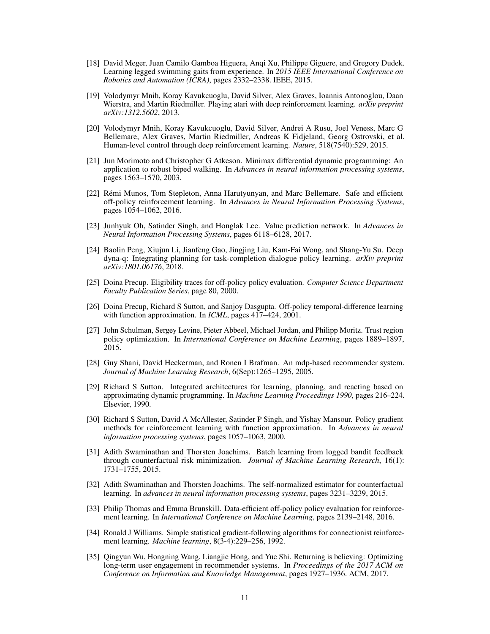- [18] David Meger, Juan Camilo Gamboa Higuera, Anqi Xu, Philippe Giguere, and Gregory Dudek. Learning legged swimming gaits from experience. In *2015 IEEE International Conference on Robotics and Automation (ICRA)*, pages 2332–2338. IEEE, 2015.
- [19] Volodymyr Mnih, Koray Kavukcuoglu, David Silver, Alex Graves, Ioannis Antonoglou, Daan Wierstra, and Martin Riedmiller. Playing atari with deep reinforcement learning. *arXiv preprint arXiv:1312.5602*, 2013.
- [20] Volodymyr Mnih, Koray Kavukcuoglu, David Silver, Andrei A Rusu, Joel Veness, Marc G Bellemare, Alex Graves, Martin Riedmiller, Andreas K Fidjeland, Georg Ostrovski, et al. Human-level control through deep reinforcement learning. *Nature*, 518(7540):529, 2015.
- [21] Jun Morimoto and Christopher G Atkeson. Minimax differential dynamic programming: An application to robust biped walking. In *Advances in neural information processing systems*, pages 1563–1570, 2003.
- [22] Rémi Munos, Tom Stepleton, Anna Harutyunyan, and Marc Bellemare. Safe and efficient off-policy reinforcement learning. In *Advances in Neural Information Processing Systems*, pages 1054–1062, 2016.
- [23] Junhyuk Oh, Satinder Singh, and Honglak Lee. Value prediction network. In *Advances in Neural Information Processing Systems*, pages 6118–6128, 2017.
- [24] Baolin Peng, Xiujun Li, Jianfeng Gao, Jingjing Liu, Kam-Fai Wong, and Shang-Yu Su. Deep dyna-q: Integrating planning for task-completion dialogue policy learning. *arXiv preprint arXiv:1801.06176*, 2018.
- [25] Doina Precup. Eligibility traces for off-policy policy evaluation. *Computer Science Department Faculty Publication Series*, page 80, 2000.
- [26] Doina Precup, Richard S Sutton, and Sanjoy Dasgupta. Off-policy temporal-difference learning with function approximation. In *ICML*, pages 417–424, 2001.
- [27] John Schulman, Sergey Levine, Pieter Abbeel, Michael Jordan, and Philipp Moritz. Trust region policy optimization. In *International Conference on Machine Learning*, pages 1889–1897, 2015.
- [28] Guy Shani, David Heckerman, and Ronen I Brafman. An mdp-based recommender system. *Journal of Machine Learning Research*, 6(Sep):1265–1295, 2005.
- [29] Richard S Sutton. Integrated architectures for learning, planning, and reacting based on approximating dynamic programming. In *Machine Learning Proceedings 1990*, pages 216–224. Elsevier, 1990.
- [30] Richard S Sutton, David A McAllester, Satinder P Singh, and Yishay Mansour. Policy gradient methods for reinforcement learning with function approximation. In *Advances in neural information processing systems*, pages 1057–1063, 2000.
- [31] Adith Swaminathan and Thorsten Joachims. Batch learning from logged bandit feedback through counterfactual risk minimization. *Journal of Machine Learning Research*, 16(1): 1731–1755, 2015.
- [32] Adith Swaminathan and Thorsten Joachims. The self-normalized estimator for counterfactual learning. In *advances in neural information processing systems*, pages 3231–3239, 2015.
- [33] Philip Thomas and Emma Brunskill. Data-efficient off-policy policy evaluation for reinforcement learning. In *International Conference on Machine Learning*, pages 2139–2148, 2016.
- [34] Ronald J Williams. Simple statistical gradient-following algorithms for connectionist reinforcement learning. *Machine learning*, 8(3-4):229–256, 1992.
- [35] Qingyun Wu, Hongning Wang, Liangjie Hong, and Yue Shi. Returning is believing: Optimizing long-term user engagement in recommender systems. In *Proceedings of the 2017 ACM on Conference on Information and Knowledge Management*, pages 1927–1936. ACM, 2017.